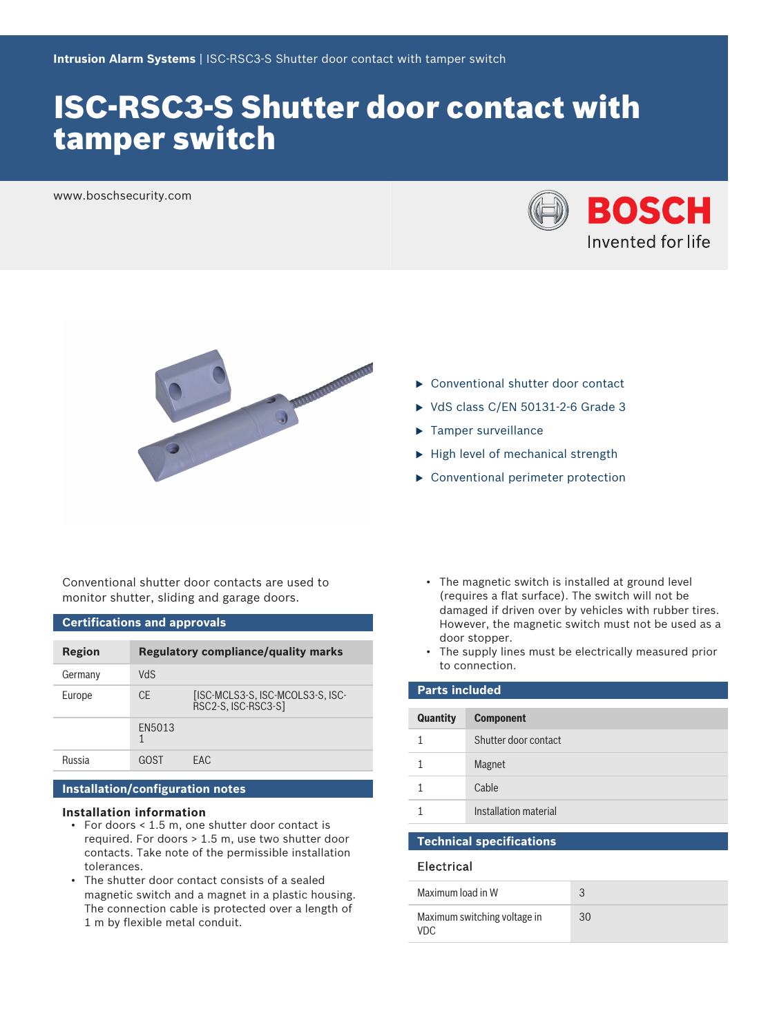# ISC-RSC3-S Shutter door contact with tamper switch

www.boschsecurity.com





Conventional shutter door contacts are used to monitor shutter, sliding and garage doors.

## **Certifications and approvals**

| <b>Region</b> | <b>Regulatory compliance/quality marks</b> |                                                         |
|---------------|--------------------------------------------|---------------------------------------------------------|
| Germany       | <b>ShV</b>                                 |                                                         |
| Europe        | <b>CE</b>                                  | [ISC-MCLS3-S, ISC-MCOLS3-S, ISC-<br>RSC2-S, ISC-RSC3-S] |
|               | EN5013                                     |                                                         |
| Russia        | GOST                                       | FAC.                                                    |

## **Installation/configuration notes**

#### **Installation information**

- For doors < 1.5 m, one shutter door contact is required. For doors > 1.5 m, use two shutter door contacts. Take note of the permissible installation tolerances.
- The shutter door contact consists of a sealed magnetic switch and a magnet in a plastic housing. The connection cable is protected over a length of 1 m by flexible metal conduit.
- $\blacktriangleright$  High level of mechanical strength
- $\triangleright$  Conventional perimeter protection

 $\blacktriangleright$  Conventional shutter door contact  $\triangleright$  VdS class C/EN 50131-2-6 Grade 3

 $\blacktriangleright$  Tamper surveillance

- The magnetic switch is installed at ground level (requires a flat surface). The switch will not be damaged if driven over by vehicles with rubber tires. However, the magnetic switch must not be used as a door stopper.
- The supply lines must be electrically measured prior to connection.

| <b>Parts included</b> |                       |  |  |
|-----------------------|-----------------------|--|--|
| Quantity              | <b>Component</b>      |  |  |
| 1                     | Shutter door contact  |  |  |
|                       | Magnet                |  |  |
|                       | Cable                 |  |  |
|                       | Installation material |  |  |

#### **Technical specifications**

#### Electrical

| Maximum load in W                    |    |
|--------------------------------------|----|
| Maximum switching voltage in<br>VDC. | 30 |